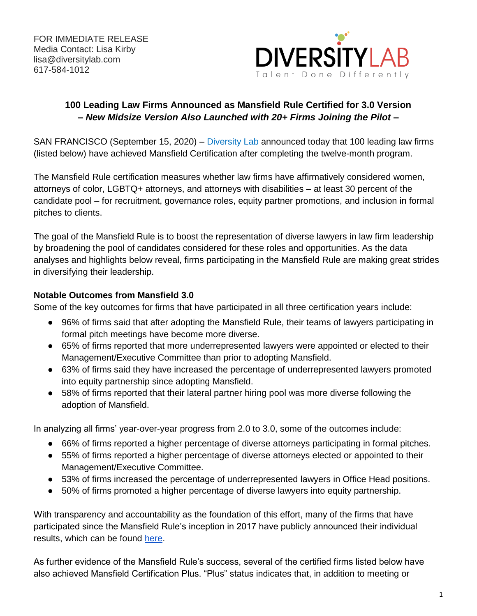

## **100 Leading Law Firms Announced as Mansfield Rule Certified for 3.0 Version** *– New Midsize Version Also Launched with 20+ Firms Joining the Pilot –*

SAN FRANCISCO (September 15, 2020) – [Diversity Lab](https://www.diversitylab.com/) announced today that 100 leading law firms (listed below) have achieved Mansfield Certification after completing the twelve-month program.

The Mansfield Rule certification measures whether law firms have affirmatively considered women, attorneys of color, LGBTQ+ attorneys, and attorneys with disabilities – at least 30 percent of the candidate pool – for recruitment, governance roles, equity partner promotions, and inclusion in formal pitches to clients.

The goal of the Mansfield Rule is to boost the representation of diverse lawyers in law firm leadership by broadening the pool of candidates considered for these roles and opportunities. As the data analyses and highlights below reveal, firms participating in the Mansfield Rule are making great strides in diversifying their leadership.

### **Notable Outcomes from Mansfield 3.0**

Some of the key outcomes for firms that have participated in all three certification years include:

- 96% of firms said that after adopting the Mansfield Rule, their teams of lawyers participating in formal pitch meetings have become more diverse.
- 65% of firms reported that more underrepresented lawyers were appointed or elected to their Management/Executive Committee than prior to adopting Mansfield.
- 63% of firms said they have increased the percentage of underrepresented lawyers promoted into equity partnership since adopting Mansfield.
- 58% of firms reported that their lateral partner hiring pool was more diverse following the adoption of Mansfield.

In analyzing all firms' year-over-year progress from 2.0 to 3.0, some of the outcomes include:

- 66% of firms reported a higher percentage of diverse attorneys participating in formal pitches.
- 55% of firms reported a higher percentage of diverse attorneys elected or appointed to their Management/Executive Committee.
- 53% of firms increased the percentage of underrepresented lawyers in Office Head positions.
- 50% of firms promoted a higher percentage of diverse lawyers into equity partnership.

With transparency and accountability as the foundation of this effort, many of the firms that have participated since the Mansfield Rule's inception in 2017 have publicly announced their individual results, which can be found [here.](https://www.diversitylab.com/mansfield-rule-4-0/)

As further evidence of the Mansfield Rule's success, several of the certified firms listed below have also achieved Mansfield Certification Plus. "Plus" status indicates that, in addition to meeting or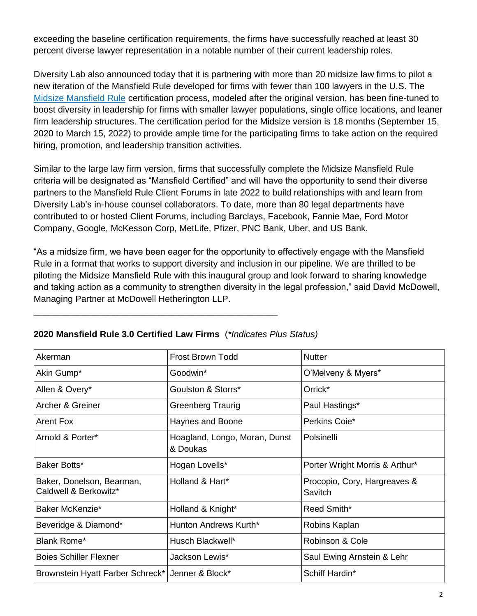exceeding the baseline certification requirements, the firms have successfully reached at least 30 percent diverse lawyer representation in a notable number of their current leadership roles.

Diversity Lab also announced today that it is partnering with more than 20 midsize law firms to pilot a new iteration of the Mansfield Rule developed for firms with fewer than 100 lawyers in the U.S. The [Midsize Mansfield Rule](https://www.diversitylab.com/pilot-projects/mansfield_midsize/) certification process, modeled after the original version, has been fine-tuned to boost diversity in leadership for firms with smaller lawyer populations, single office locations, and leaner firm leadership structures. The certification period for the Midsize version is 18 months (September 15, 2020 to March 15, 2022) to provide ample time for the participating firms to take action on the required hiring, promotion, and leadership transition activities.

Similar to the large law firm version, firms that successfully complete the Midsize Mansfield Rule criteria will be designated as "Mansfield Certified" and will have the opportunity to send their diverse partners to the Mansfield Rule Client Forums in late 2022 to build relationships with and learn from Diversity Lab's in-house counsel collaborators. To date, more than 80 legal departments have contributed to or hosted Client Forums, including Barclays, Facebook, Fannie Mae, Ford Motor Company, Google, McKesson Corp, MetLife, Pfizer, PNC Bank, Uber, and US Bank.

"As a midsize firm, we have been eager for the opportunity to effectively engage with the Mansfield Rule in a format that works to support diversity and inclusion in our pipeline. We are thrilled to be piloting the Midsize Mansfield Rule with this inaugural group and look forward to sharing knowledge and taking action as a community to strengthen diversity in the legal profession," said David McDowell, Managing Partner at McDowell Hetherington LLP.

| Akerman                                            | <b>Frost Brown Todd</b>                   | <b>Nutter</b>                           |
|----------------------------------------------------|-------------------------------------------|-----------------------------------------|
| Akin Gump*                                         | Goodwin*                                  | O'Melveny & Myers*                      |
| Allen & Overy*                                     | Goulston & Storrs*                        | Orrick*                                 |
| Archer & Greiner                                   | Greenberg Traurig                         | Paul Hastings*                          |
| <b>Arent Fox</b>                                   | Haynes and Boone                          | Perkins Coie*                           |
| Arnold & Porter*                                   | Hoagland, Longo, Moran, Dunst<br>& Doukas | Polsinelli                              |
| Baker Botts*                                       | Hogan Lovells*                            | Porter Wright Morris & Arthur*          |
| Baker, Donelson, Bearman,<br>Caldwell & Berkowitz* | Holland & Hart*                           | Procopio, Cory, Hargreaves &<br>Savitch |
| Baker McKenzie*                                    | Holland & Knight*                         | Reed Smith*                             |
| Beveridge & Diamond*                               | Hunton Andrews Kurth*                     | Robins Kaplan                           |
| <b>Blank Rome*</b>                                 | Husch Blackwell*                          | Robinson & Cole                         |
| <b>Boies Schiller Flexner</b>                      | Jackson Lewis*                            | Saul Ewing Arnstein & Lehr              |
| Brownstein Hyatt Farber Schreck*   Jenner & Block* |                                           | Schiff Hardin*                          |

### **2020 Mansfield Rule 3.0 Certified Law Firms** (*\*Indicates Plus Status)*

\_\_\_\_\_\_\_\_\_\_\_\_\_\_\_\_\_\_\_\_\_\_\_\_\_\_\_\_\_\_\_\_\_\_\_\_\_\_\_\_\_\_\_\_\_\_\_\_\_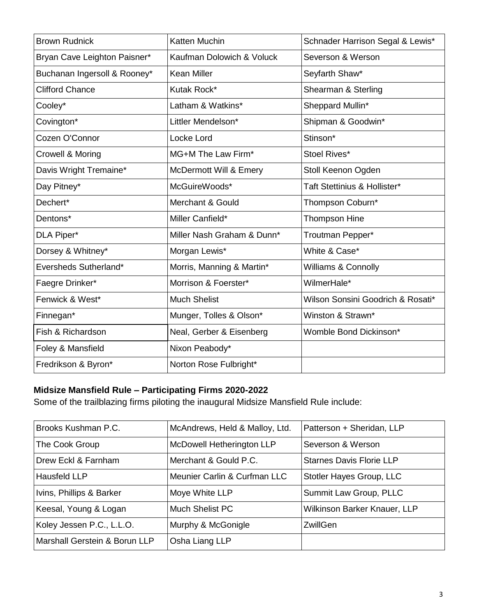| <b>Brown Rudnick</b>         | <b>Katten Muchin</b>       | Schnader Harrison Segal & Lewis*  |
|------------------------------|----------------------------|-----------------------------------|
| Bryan Cave Leighton Paisner* | Kaufman Dolowich & Voluck  | Severson & Werson                 |
| Buchanan Ingersoll & Rooney* | Kean Miller                | Seyfarth Shaw*                    |
| <b>Clifford Chance</b>       | Kutak Rock*                | Shearman & Sterling               |
| Cooley*                      | Latham & Watkins*          | Sheppard Mullin*                  |
| Covington*                   | Littler Mendelson*         | Shipman & Goodwin*                |
| Cozen O'Connor               | Locke Lord                 | Stinson*                          |
| Crowell & Moring             | MG+M The Law Firm*         | Stoel Rives*                      |
| Davis Wright Tremaine*       | McDermott Will & Emery     | Stoll Keenon Ogden                |
| Day Pitney*                  | McGuireWoods*              | Taft Stettinius & Hollister*      |
| Dechert*                     | Merchant & Gould           | Thompson Coburn*                  |
| Dentons*                     | Miller Canfield*           | Thompson Hine                     |
| DLA Piper*                   | Miller Nash Graham & Dunn* | Troutman Pepper*                  |
| Dorsey & Whitney*            | Morgan Lewis*              | White & Case*                     |
| Eversheds Sutherland*        | Morris, Manning & Martin*  | Williams & Connolly               |
| Faegre Drinker*              | Morrison & Foerster*       | WilmerHale*                       |
| Fenwick & West*              | <b>Much Shelist</b>        | Wilson Sonsini Goodrich & Rosati* |
| Finnegan*                    | Munger, Tolles & Olson*    | Winston & Strawn*                 |
| Fish & Richardson            | Neal, Gerber & Eisenberg   | Womble Bond Dickinson*            |
| Foley & Mansfield            | Nixon Peabody*             |                                   |
| Fredrikson & Byron*          | Norton Rose Fulbright*     |                                   |

# **Midsize Mansfield Rule – Participating Firms 2020-2022**

Some of the trailblazing firms piloting the inaugural Midsize Mansfield Rule include:

| Brooks Kushman P.C.           | McAndrews, Held & Malloy, Ltd.   | Patterson + Sheridan, LLP       |
|-------------------------------|----------------------------------|---------------------------------|
| The Cook Group                | <b>McDowell Hetherington LLP</b> | Severson & Werson               |
| Drew Eckl & Farnham           | Merchant & Gould P.C.            | <b>Starnes Davis Florie LLP</b> |
| Hausfeld LLP                  | Meunier Carlin & Curfman LLC     | Stotler Hayes Group, LLC        |
| Ivins, Phillips & Barker      | Moye White LLP                   | Summit Law Group, PLLC          |
| Keesal, Young & Logan         | Much Shelist PC                  | Wilkinson Barker Knauer, LLP    |
| Koley Jessen P.C., L.L.O.     | Murphy & McGonigle               | ZwillGen                        |
| Marshall Gerstein & Borun LLP | Osha Liang LLP                   |                                 |